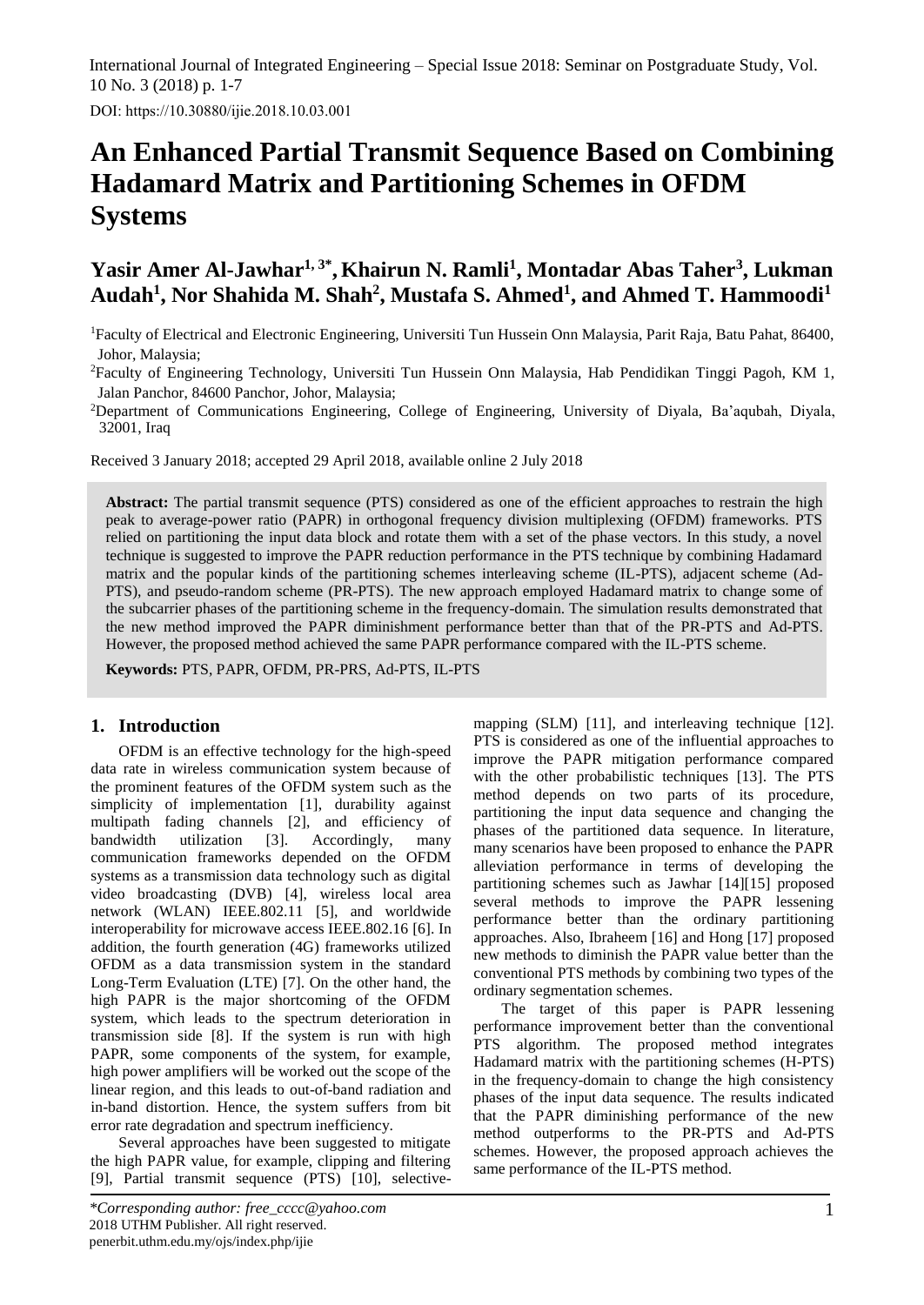International Journal of Integrated Engineering – Special Issue 2018: Seminar on Postgraduate Study, Vol. 10 No. 3 (2018) p. 1-7

DOI: https://10.30880/ijie.2018.10.03.001

# **An Enhanced Partial Transmit Sequence Based on Combining Hadamard Matrix and Partitioning Schemes in OFDM Systems**

# **Yasir Amer Al-Jawhar1, 3\* , Khairun N. Ramli<sup>1</sup> , Montadar Abas Taher<sup>3</sup> , Lukman Audah<sup>1</sup> , Nor Shahida M. Shah<sup>2</sup> , Mustafa S. Ahmed<sup>1</sup> , and Ahmed T. Hammoodi<sup>1</sup>**

<sup>1</sup>Faculty of Electrical and Electronic Engineering, Universiti Tun Hussein Onn Malaysia, Parit Raja, Batu Pahat, 86400, Johor, Malaysia;

<sup>2</sup>Faculty of Engineering Technology, Universiti Tun Hussein Onn Malaysia, Hab Pendidikan Tinggi Pagoh, KM 1, Jalan Panchor, 84600 Panchor, Johor, Malaysia;

<sup>2</sup>Department of Communications Engineering, College of Engineering, University of Diyala, Ba'aqubah, Diyala, 32001, Iraq

Received 3 January 2018; accepted 29 April 2018, available online 2 July 2018

**Abstract:** The partial transmit sequence (PTS) considered as one of the efficient approaches to restrain the high peak to average-power ratio (PAPR) in orthogonal frequency division multiplexing (OFDM) frameworks. PTS relied on partitioning the input data block and rotate them with a set of the phase vectors. In this study, a novel technique is suggested to improve the PAPR reduction performance in the PTS technique by combining Hadamard matrix and the popular kinds of the partitioning schemes interleaving scheme (IL-PTS), adjacent scheme (Ad-PTS), and pseudo-random scheme (PR-PTS). The new approach employed Hadamard matrix to change some of the subcarrier phases of the partitioning scheme in the frequency-domain. The simulation results demonstrated that the new method improved the PAPR diminishment performance better than that of the PR-PTS and Ad-PTS. However, the proposed method achieved the same PAPR performance compared with the IL-PTS scheme.

**Keywords:** PTS, PAPR, OFDM, PR-PRS, Ad-PTS, IL-PTS

## **1. Introduction**

OFDM is an effective technology for the high-speed data rate in wireless communication system because of the prominent features of the OFDM system such as the simplicity of implementation [1], durability against multipath fading channels [2], and efficiency of bandwidth utilization [3]. Accordingly, many communication frameworks depended on the OFDM systems as a transmission data technology such as digital video broadcasting (DVB) [4], wireless local area network (WLAN) IEEE.802.11 [5], and worldwide interoperability for microwave access IEEE.802.16 [6]. In addition, the fourth generation (4G) frameworks utilized OFDM as a data transmission system in the standard Long-Term Evaluation (LTE) [7]. On the other hand, the high PAPR is the major shortcoming of the OFDM system, which leads to the spectrum deterioration in transmission side [8]. If the system is run with high PAPR, some components of the system, for example, high power amplifiers will be worked out the scope of the linear region, and this leads to out-of-band radiation and in-band distortion. Hence, the system suffers from bit error rate degradation and spectrum inefficiency.

Several approaches have been suggested to mitigate the high PAPR value, for example, clipping and filtering [9], Partial transmit sequence (PTS) [10], selectivemapping (SLM) [11], and interleaving technique [12]. PTS is considered as one of the influential approaches to improve the PAPR mitigation performance compared with the other probabilistic techniques [13]. The PTS method depends on two parts of its procedure, partitioning the input data sequence and changing the phases of the partitioned data sequence. In literature, many scenarios have been proposed to enhance the PAPR alleviation performance in terms of developing the partitioning schemes such as Jawhar [14][15] proposed several methods to improve the PAPR lessening performance better than the ordinary partitioning approaches. Also, Ibraheem [16] and Hong [17] proposed new methods to diminish the PAPR value better than the conventional PTS methods by combining two types of the ordinary segmentation schemes.

The target of this paper is PAPR lessening performance improvement better than the conventional PTS algorithm. The proposed method integrates Hadamard matrix with the partitioning schemes (H-PTS) in the frequency-domain to change the high consistency phases of the input data sequence. The results indicated that the PAPR diminishing performance of the new method outperforms to the PR-PTS and Ad-PTS schemes. However, the proposed approach achieves the same performance of the IL-PTS method.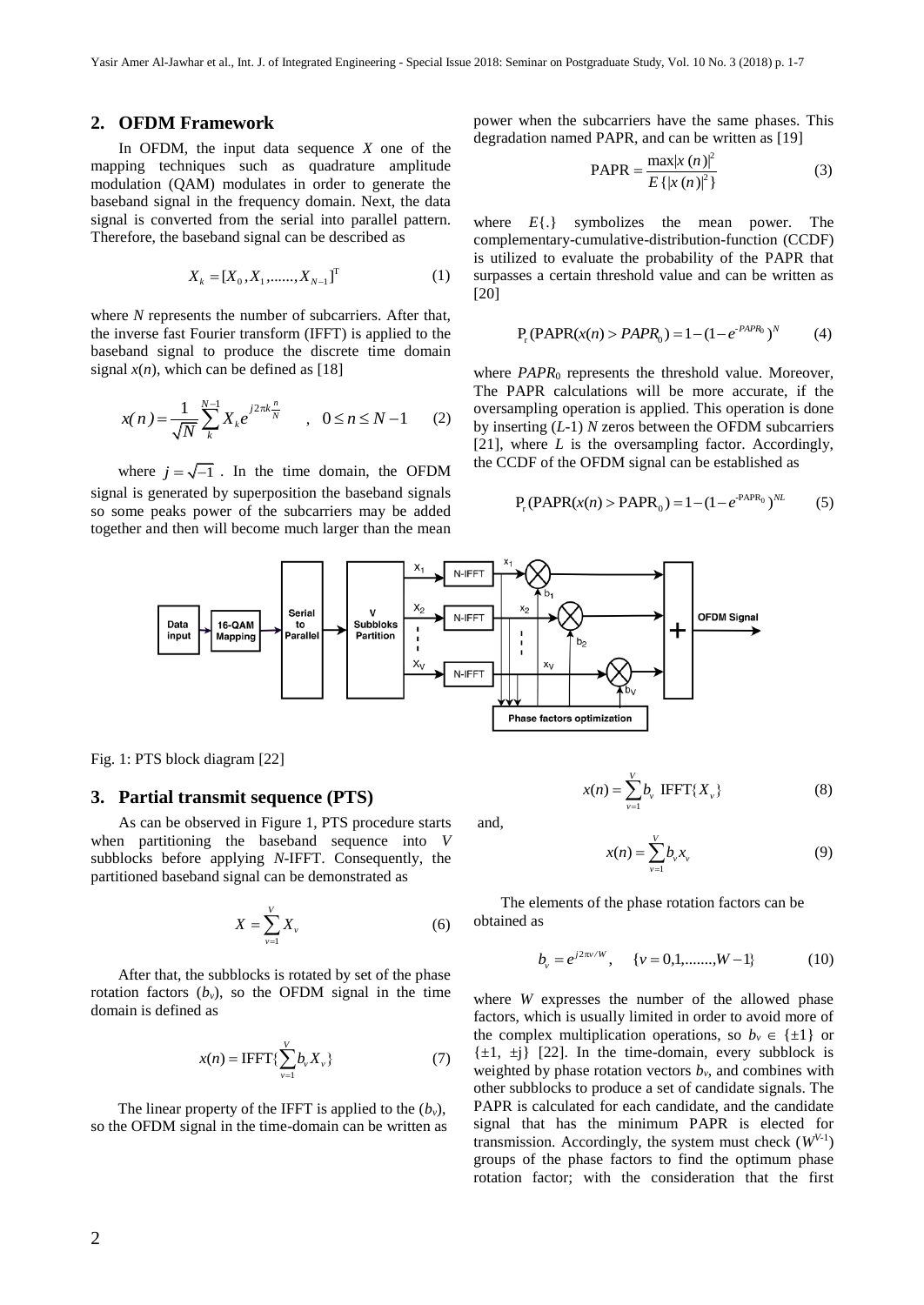#### **2. OFDM Framework**

In OFDM, the input data sequence *X* one of the mapping techniques such as quadrature amplitude modulation (QAM) modulates in order to generate the baseband signal in the frequency domain. Next, the data signal is converted from the serial into parallel pattern. Therefore, the baseband signal can be described as

$$
X_k = [X_0, X_1, \dots, X_{N-1}]^T
$$
 (1)

where *N* represents the number of subcarriers. After that, the inverse fast Fourier transform (IFFT) is applied to the baseband signal to produce the discrete time domain signal  $x(n)$ , which can be defined as [18]

$$
x(n) = \frac{1}{\sqrt{N}} \sum_{k}^{N-1} X_k e^{j2\pi k \frac{n}{N}} \qquad , \quad 0 \le n \le N-1 \qquad (2)
$$

where  $j = \sqrt{-1}$ . In the time domain, the OFDM signal is generated by superposition the baseband signals so some peaks power of the subcarriers may be added together and then will become much larger than the mean

power when the subcarriers have the same phases. This degradation named PAPR, and can be written as [19]

PAPR = 
$$
\frac{\max|x(n)|^2}{E\{|x(n)|^2\}}
$$
 (3)

where *E*{.} symbolizes the mean power. The complementary-cumulative-distribution-function (CCDF) is utilized to evaluate the probability of the PAPR that surpasses a certain threshold value and can be written as [20]

$$
P_r(PAPR(x(n) > PAPR_0) = 1 - (1 - e^{-PAPR_0})^N
$$
 (4)

where *PAPR*<sub>0</sub> represents the threshold value. Moreover, The PAPR calculations will be more accurate, if the oversampling operation is applied. This operation is done by inserting (*L*-1) *N* zeros between the OFDM subcarriers [21], where *L* is the oversampling factor. Accordingly, the CCDF of the OFDM signal can be established as

$$
P_r(PAPR(x(n) > PAPR_0) = 1 - (1 - e^{-PAPR_0})^{NL}
$$
 (5)



and,

Fig. 1: PTS block diagram [22]

#### **3. Partial transmit sequence (PTS)**

As can be observed in Figure 1, PTS procedure starts when partitioning the baseband sequence into *V* subblocks before applying *N*-IFFT. Consequently, the partitioned baseband signal can be demonstrated as

$$
X = \sum_{\nu=1}^{V} X_{\nu} \tag{6}
$$

 After that, the subblocks is rotated by set of the phase rotation factors  $(b_v)$ , so the OFDM signal in the time domain is defined as

$$
x(n) = \text{IFFT}\left\{\sum_{\nu=1}^{V} b_{\nu} X_{\nu}\right\} \tag{7}
$$

The linear property of the IFFT is applied to the  $(b_y)$ , so the OFDM signal in the time-domain can be written as

$$
x(n) = \sum_{v=1}^{V} b_v \text{ IFFT}\{X_v\}
$$
 (8)

$$
x(n) = \sum_{\nu=1}^{V} b_{\nu} x_{\nu}
$$
 (9)

 The elements of the phase rotation factors can be obtained as

$$
b_{v} = e^{j2\pi v/W}, \quad \{v = 0, 1, \dots, W - 1\}
$$
 (10)

where *W* expresses the number of the allowed phase factors, which is usually limited in order to avoid more of the complex multiplication operations, so  $b_y \in \{\pm 1\}$  or  $\{\pm 1, \pm i\}$  [22]. In the time-domain, every subblock is weighted by phase rotation vectors  $b<sub>v</sub>$ , and combines with other subblocks to produce a set of candidate signals. The PAPR is calculated for each candidate, and the candidate signal that has the minimum PAPR is elected for transmission. Accordingly, the system must check  $(W^{V-1})$ groups of the phase factors to find the optimum phase rotation factor; with the consideration that the first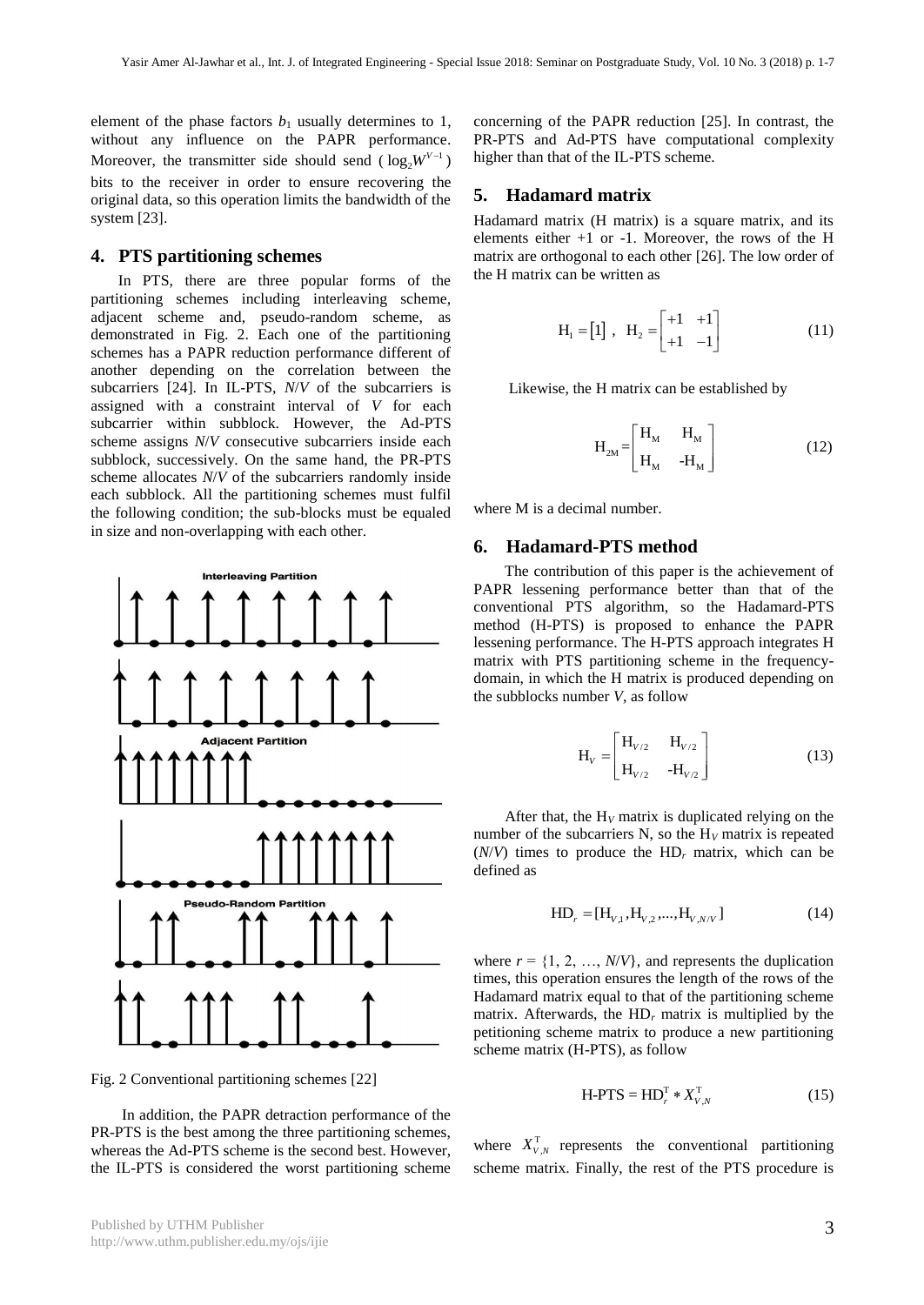element of the phase factors  $b_1$  usually determines to 1, without any influence on the PAPR performance. Moreover, the transmitter side should send  $(\log_2 W^{V-1})$ bits to the receiver in order to ensure recovering the original data, so this operation limits the bandwidth of the system [23].

# **4. PTS partitioning schemes**

 In PTS, there are three popular forms of the partitioning schemes including interleaving scheme, adjacent scheme and, pseudo-random scheme, as demonstrated in Fig. 2. Each one of the partitioning schemes has a PAPR reduction performance different of another depending on the correlation between the subcarriers [24]. In IL-PTS, *N*/*V* of the subcarriers is assigned with a constraint interval of *V* for each subcarrier within subblock. However, the Ad-PTS scheme assigns *N*/*V* consecutive subcarriers inside each subblock, successively. On the same hand, the PR-PTS scheme allocates *N*/*V* of the subcarriers randomly inside each subblock. All the partitioning schemes must fulfil the following condition; the sub-blocks must be equaled in size and non-overlapping with each other.



Fig. 2 Conventional partitioning schemes [22]

 In addition, the PAPR detraction performance of the PR-PTS is the best among the three partitioning schemes, whereas the Ad-PTS scheme is the second best. However, the IL-PTS is considered the worst partitioning scheme concerning of the PAPR reduction [25]. In contrast, the PR-PTS and Ad-PTS have computational complexity higher than that of the IL-PTS scheme.

#### **5. Hadamard matrix**

Hadamard matrix (H matrix) is a square matrix, and its elements either  $+1$  or  $-1$ . Moreover, the rows of the H matrix are orthogonal to each other [26]. The low order of the H matrix can be written as

$$
\mathbf{H}_{1} = \begin{bmatrix} 1 \end{bmatrix}, \quad \mathbf{H}_{2} = \begin{bmatrix} +1 & +1 \\ +1 & -1 \end{bmatrix} \tag{11}
$$

Likewise, the H matrix can be established by

$$
H_{2M} = \begin{bmatrix} H_M & H_M \\ H_M & -H_M \end{bmatrix}
$$
 (12)

where M is a decimal number.

#### **6. Hadamard-PTS method**

 The contribution of this paper is the achievement of PAPR lessening performance better than that of the conventional PTS algorithm, so the Hadamard-PTS method (H-PTS) is proposed to enhance the PAPR lessening performance. The H-PTS approach integrates H matrix with PTS partitioning scheme in the frequencydomain, in which the H matrix is produced depending on the subblocks number *V*, as follow

$$
H_{V} = \begin{bmatrix} H_{V/2} & H_{V/2} \\ H_{V/2} & -H_{V/2} \end{bmatrix}
$$
 (13)

After that, the  $H_V$  matrix is duplicated relying on the number of the subcarriers N, so the  $H_V$  matrix is repeated  $(N/V)$  times to produce the HD<sub>r</sub> matrix, which can be defined as

$$
HD_r = [H_{V,1}, H_{V,2}, ..., H_{V,N/V}]
$$
\n(14)

where  $r = \{1, 2, ..., N/V\}$ , and represents the duplication times, this operation ensures the length of the rows of the Hadamard matrix equal to that of the partitioning scheme matrix. Afterwards, the HD*<sup>r</sup>* matrix is multiplied by the petitioning scheme matrix to produce a new partitioning scheme matrix (H-PTS), as follow

$$
H-PTS = HDrT * XV,NT
$$
 (15)

where  $X_{V,N}^T$  represents the conventional partitioning scheme matrix. Finally, the rest of the PTS procedure is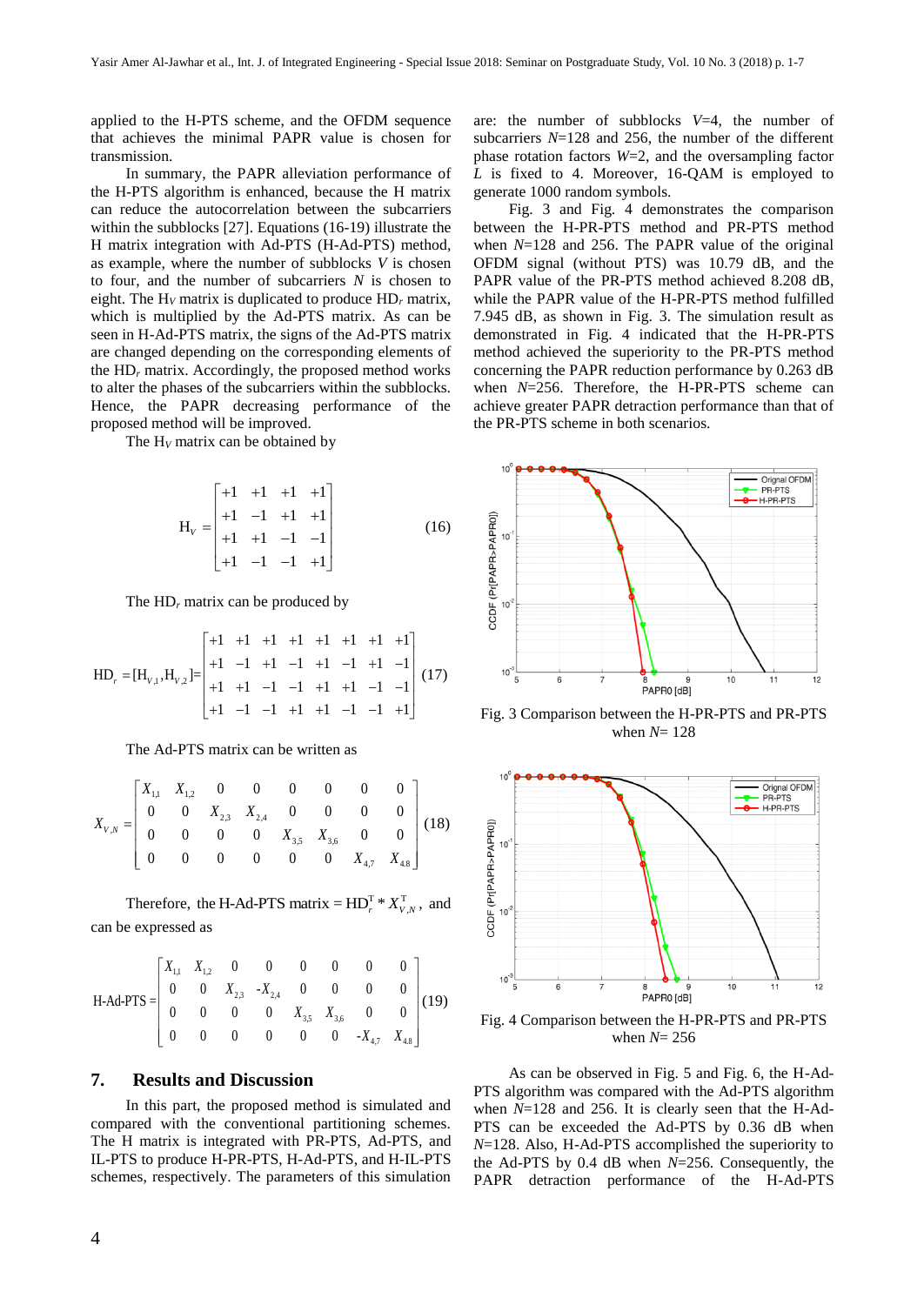applied to the H-PTS scheme, and the OFDM sequence that achieves the minimal PAPR value is chosen for transmission.

 In summary, the PAPR alleviation performance of the H-PTS algorithm is enhanced, because the H matrix can reduce the autocorrelation between the subcarriers within the subblocks [27]. Equations (16-19) illustrate the H matrix integration with Ad-PTS (H-Ad-PTS) method, as example, where the number of subblocks *V* is chosen to four, and the number of subcarriers *N* is chosen to eight. The H*<sup>V</sup>* matrix is duplicated to produce HD*<sup>r</sup>* matrix, which is multiplied by the Ad-PTS matrix. As can be seen in H-Ad-PTS matrix, the signs of the Ad-PTS matrix are changed depending on the corresponding elements of the HD*<sup>r</sup>* matrix. Accordingly, the proposed method works to alter the phases of the subcarriers within the subblocks. Hence, the PAPR decreasing performance of the proposed method will be improved.

The  $H_V$  matrix can be obtained by

$$
H_{V} = \begin{bmatrix} +1 & +1 & +1 & +1 \\ +1 & -1 & +1 & +1 \\ +1 & +1 & -1 & -1 \\ +1 & -1 & -1 & +1 \end{bmatrix}
$$
 (16)

The  $HD<sub>r</sub>$  matrix can be produced by

$$
HD_r = [H_{v,1}, H_{v,2}] = \begin{bmatrix} +1 & +1 & +1 & +1 & +1 & +1 & +1 \\ +1 & -1 & +1 & -1 & +1 & -1 & -1 \\ +1 & +1 & -1 & -1 & +1 & +1 & -1 & -1 \\ +1 & -1 & -1 & +1 & +1 & -1 & -1 & +1 \end{bmatrix} (17)
$$

The Ad-PTS matrix can be written as

$$
X_{V,N} = \begin{bmatrix} X_{1,1} & X_{1,2} & 0 & 0 & 0 & 0 & 0 & 0 \\ 0 & 0 & X_{2,3} & X_{2,4} & 0 & 0 & 0 & 0 \\ 0 & 0 & 0 & 0 & X_{3,5} & X_{3,6} & 0 & 0 \\ 0 & 0 & 0 & 0 & 0 & 0 & X_{4,7} & X_{4,8} \end{bmatrix} (18)
$$

Therefore, the H-Ad-PTS matrix =  $HD_r^T * X_{V,N}^T$ , and can be expressed as

$$
\text{H-Ad-PTS} = \begin{bmatrix} X_{1,1} & X_{1,2} & 0 & 0 & 0 & 0 & 0 & 0 \\ 0 & 0 & X_{2,3} & -X_{2,4} & 0 & 0 & 0 & 0 \\ 0 & 0 & 0 & 0 & X_{3,5} & X_{3,6} & 0 & 0 \\ 0 & 0 & 0 & 0 & 0 & -X_{4,7} & X_{4,8} \end{bmatrix} \tag{19}
$$

#### **7. Results and Discussion**

 In this part, the proposed method is simulated and compared with the conventional partitioning schemes. The H matrix is integrated with PR-PTS, Ad-PTS, and IL-PTS to produce H-PR-PTS, H-Ad-PTS, and H-IL-PTS schemes, respectively. The parameters of this simulation are: the number of subblocks *V*=4, the number of subcarriers *N*=128 and 256, the number of the different phase rotation factors *W*=2, and the oversampling factor *L* is fixed to 4. Moreover, 16-QAM is employed to generate 1000 random symbols.

 Fig. 3 and Fig. 4 demonstrates the comparison between the H-PR-PTS method and PR-PTS method when *N*=128 and 256. The PAPR value of the original OFDM signal (without PTS) was 10.79 dB, and the PAPR value of the PR-PTS method achieved 8.208 dB, while the PAPR value of the H-PR-PTS method fulfilled 7.945 dB, as shown in Fig. 3. The simulation result as demonstrated in Fig. 4 indicated that the H-PR-PTS method achieved the superiority to the PR-PTS method concerning the PAPR reduction performance by 0.263 dB when *N*=256. Therefore, the H-PR-PTS scheme can achieve greater PAPR detraction performance than that of the PR-PTS scheme in both scenarios.



Fig. 3 Comparison between the H-PR-PTS and PR-PTS when *N*= 128



Fig. 4 Comparison between the H-PR-PTS and PR-PTS when *N*= 256

 As can be observed in Fig. 5 and Fig. 6, the H-Ad-PTS algorithm was compared with the Ad-PTS algorithm when *N*=128 and 256. It is clearly seen that the H-Ad-PTS can be exceeded the Ad-PTS by 0.36 dB when *N*=128. Also, H-Ad-PTS accomplished the superiority to the Ad-PTS by 0.4 dB when *N*=256. Consequently, the PAPR detraction performance of the H-Ad-PTS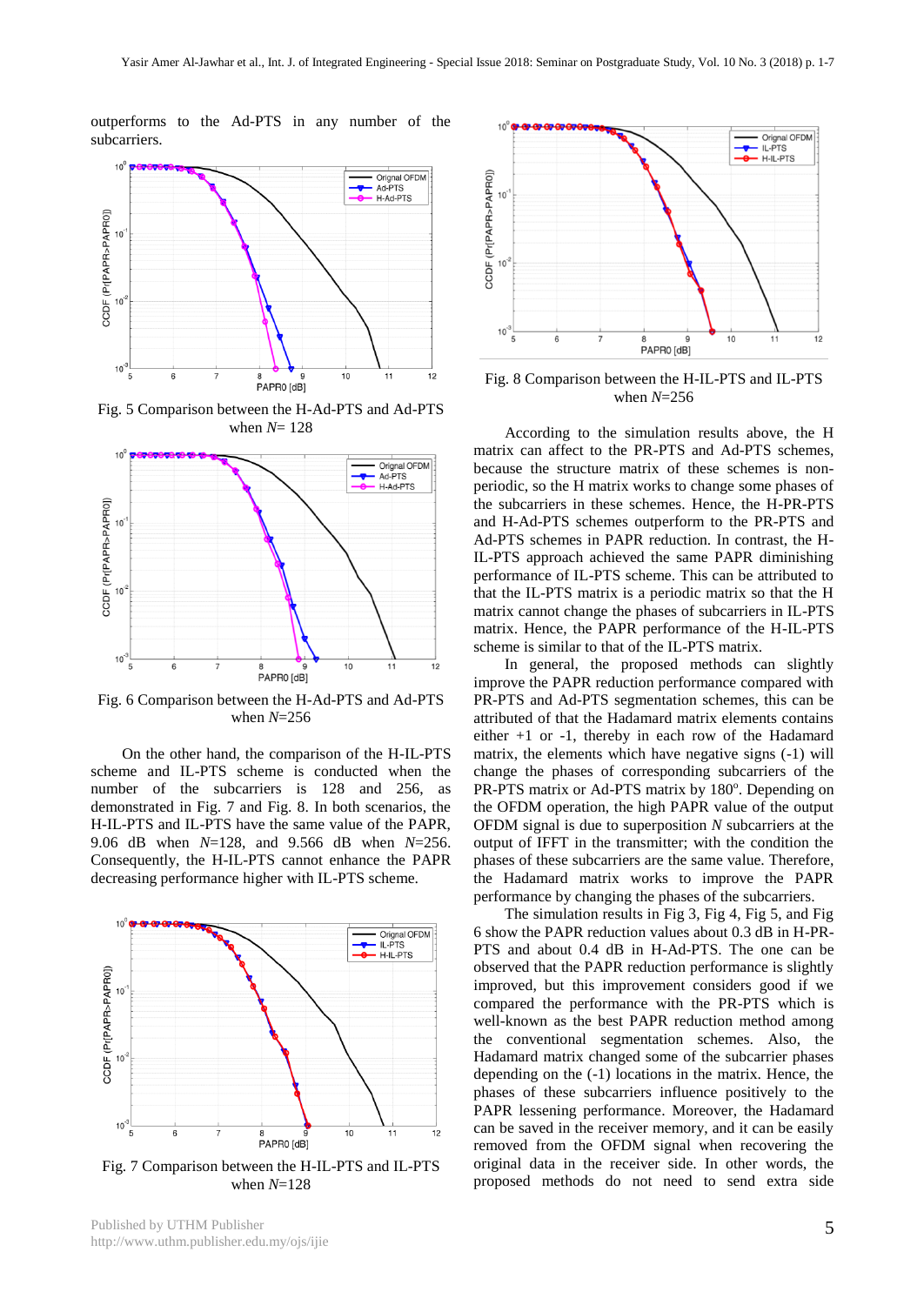$10$ 

outperforms to the Ad-PTS in any number of the subcarriers.



Fig. 5 Comparison between the H-Ad-PTS and Ad-PTS when *N*= 128



Fig. 6 Comparison between the H-Ad-PTS and Ad-PTS when *N*=256

 On the other hand, the comparison of the H-IL-PTS scheme and IL-PTS scheme is conducted when the number of the subcarriers is 128 and 256, as demonstrated in Fig. 7 and Fig. 8. In both scenarios, the H-IL-PTS and IL-PTS have the same value of the PAPR, 9.06 dB when *N*=128, and 9.566 dB when *N*=256. Consequently, the H-IL-PTS cannot enhance the PAPR decreasing performance higher with IL-PTS scheme.



when *N*=128



matrix can affect to the PR-PTS and Ad-PTS schemes, because the structure matrix of these schemes is nonperiodic, so the H matrix works to change some phases of the subcarriers in these schemes. Hence, the H-PR-PTS and H-Ad-PTS schemes outperform to the PR-PTS and Ad-PTS schemes in PAPR reduction. In contrast, the H-IL-PTS approach achieved the same PAPR diminishing performance of IL-PTS scheme. This can be attributed to that the IL-PTS matrix is a periodic matrix so that the H matrix cannot change the phases of subcarriers in IL-PTS matrix. Hence, the PAPR performance of the H-IL-PTS scheme is similar to that of the IL-PTS matrix.

Orignal OFDM<br>IL-PTS H-IL-PTS

 $12$ 

 $10$ 

 In general, the proposed methods can slightly improve the PAPR reduction performance compared with PR-PTS and Ad-PTS segmentation schemes, this can be attributed of that the Hadamard matrix elements contains either +1 or -1, thereby in each row of the Hadamard matrix, the elements which have negative signs (-1) will change the phases of corresponding subcarriers of the PR-PTS matrix or Ad-PTS matrix by 180°. Depending on the OFDM operation, the high PAPR value of the output OFDM signal is due to superposition *N* subcarriers at the output of IFFT in the transmitter; with the condition the phases of these subcarriers are the same value. Therefore, the Hadamard matrix works to improve the PAPR performance by changing the phases of the subcarriers.

 The simulation results in Fig 3, Fig 4, Fig 5, and Fig 6 show the PAPR reduction values about 0.3 dB in H-PR-PTS and about 0.4 dB in H-Ad-PTS. The one can be observed that the PAPR reduction performance is slightly improved, but this improvement considers good if we compared the performance with the PR-PTS which is well-known as the best PAPR reduction method among the conventional segmentation schemes. Also, the Hadamard matrix changed some of the subcarrier phases depending on the (-1) locations in the matrix. Hence, the phases of these subcarriers influence positively to the PAPR lessening performance. Moreover, the Hadamard can be saved in the receiver memory, and it can be easily removed from the OFDM signal when recovering the original data in the receiver side. In other words, the proposed methods do not need to send extra side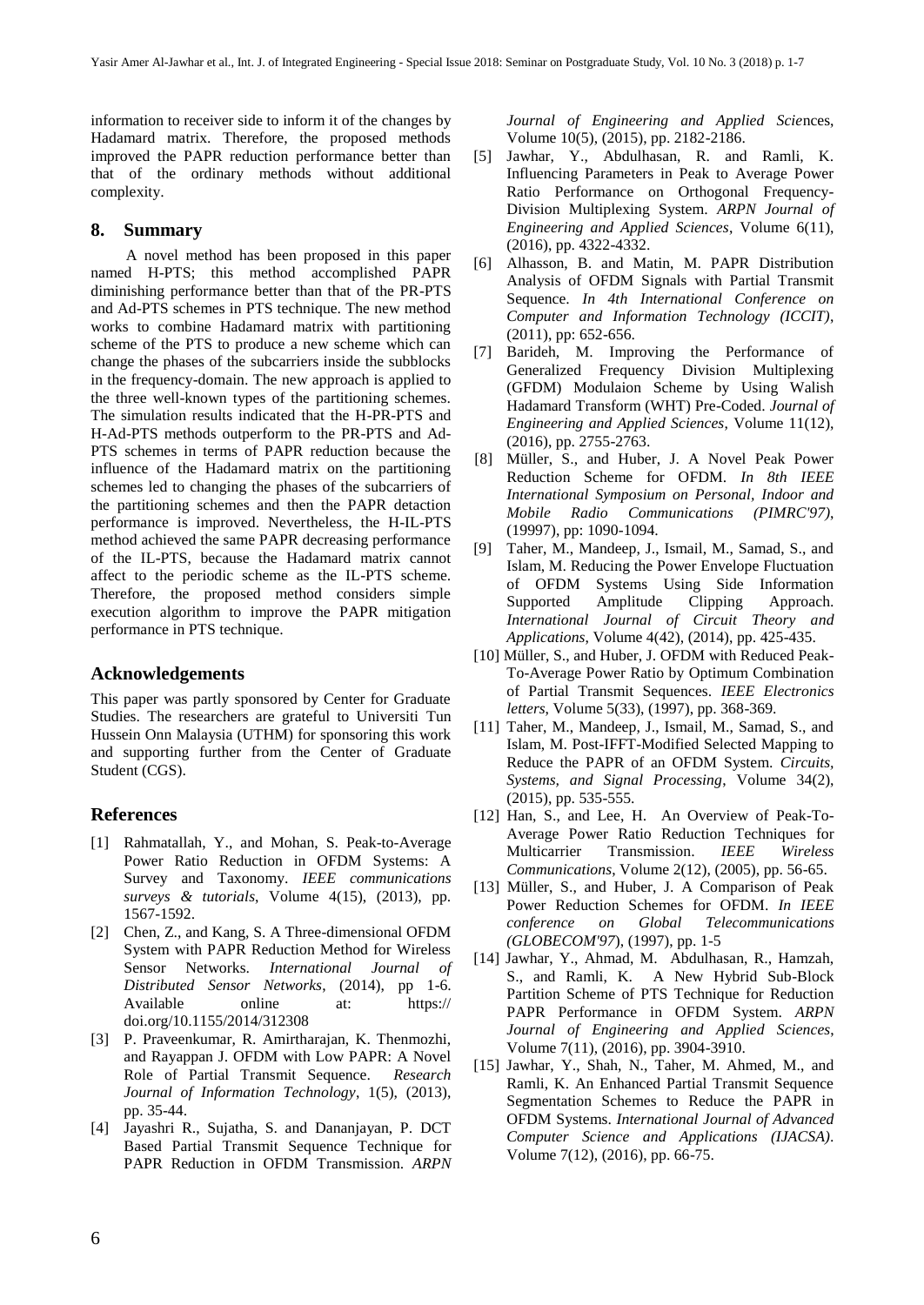information to receiver side to inform it of the changes by Hadamard matrix. Therefore, the proposed methods improved the PAPR reduction performance better than that of the ordinary methods without additional complexity.

#### **8. Summary**

 A novel method has been proposed in this paper named H-PTS; this method accomplished PAPR diminishing performance better than that of the PR-PTS and Ad-PTS schemes in PTS technique. The new method works to combine Hadamard matrix with partitioning scheme of the PTS to produce a new scheme which can change the phases of the subcarriers inside the subblocks in the frequency-domain. The new approach is applied to the three well-known types of the partitioning schemes. The simulation results indicated that the H-PR-PTS and H-Ad-PTS methods outperform to the PR-PTS and Ad-PTS schemes in terms of PAPR reduction because the influence of the Hadamard matrix on the partitioning schemes led to changing the phases of the subcarriers of the partitioning schemes and then the PAPR detaction performance is improved. Nevertheless, the H-IL-PTS method achieved the same PAPR decreasing performance of the IL-PTS, because the Hadamard matrix cannot affect to the periodic scheme as the IL-PTS scheme. Therefore, the proposed method considers simple execution algorithm to improve the PAPR mitigation performance in PTS technique.

#### **Acknowledgements**

This paper was partly sponsored by Center for Graduate Studies. The researchers are grateful to Universiti Tun Hussein Onn Malaysia (UTHM) for sponsoring this work and supporting further from the Center of Graduate Student (CGS).

## **References**

- [1] Rahmatallah, Y., and Mohan, S. Peak-to-Average Power Ratio Reduction in OFDM Systems: A Survey and Taxonomy. *IEEE communications surveys & tutorials*, Volume 4(15), (2013), pp. 1567-1592.
- [2] Chen, Z., and Kang, S. A Three-dimensional OFDM System with PAPR Reduction Method for Wireless Sensor Networks. *International Journal of Distributed Sensor Networks*, (2014), pp 1-6. Available online at: https:// doi.org/10.1155/2014/312308
- [3] P. Praveenkumar, R. Amirtharajan, K. Thenmozhi, and Rayappan J. OFDM with Low PAPR: A Novel Role of Partial Transmit Sequence. *Research Journal of Information Technology*, 1(5), (2013), pp. 35-44.
- [4] Jayashri R., Sujatha, S. and Dananjayan, P. DCT Based Partial Transmit Sequence Technique for PAPR Reduction in OFDM Transmission. *ARPN*

*Journal of Engineering and Applied Scie*nces, Volume 10(5), (2015), pp. 2182-2186.

- [5] Jawhar, Y., Abdulhasan, R. and Ramli, K. Influencing Parameters in Peak to Average Power Ratio Performance on Orthogonal Frequency-Division Multiplexing System. *ARPN Journal of Engineering and Applied Sciences*, Volume 6(11), (2016), pp. 4322-4332.
- [6] Alhasson, B. and Matin, M. PAPR Distribution Analysis of OFDM Signals with Partial Transmit Sequence. *In 4th International Conference on Computer and Information Technology (ICCIT)*, (2011), pp: 652-656.
- [7] Barideh, M. Improving the Performance of Generalized Frequency Division Multiplexing (GFDM) Modulaion Scheme by Using Walish Hadamard Transform (WHT) Pre-Coded. *Journal of Engineering and Applied Sciences*, Volume 11(12), (2016), pp. 2755-2763.
- [8] Müller, S., and Huber, J. A Novel Peak Power Reduction Scheme for OFDM. *In 8th IEEE International Symposium on Personal, Indoor and Mobile Radio Communications (PIMRC'97)*, (19997), pp: 1090-1094.
- [9] Taher, M., Mandeep, J., Ismail, M., Samad, S., and Islam, M. Reducing the Power Envelope Fluctuation of OFDM Systems Using Side Information Supported Amplitude Clipping Approach. *International Journal of Circuit Theory and Applications*, Volume 4(42), (2014), pp. 425-435.
- [10] Müller, S., and Huber, J. OFDM with Reduced Peak-To-Average Power Ratio by Optimum Combination of Partial Transmit Sequences. *IEEE Electronics letters*, Volume 5(33), (1997), pp. 368-369.
- [11] Taher, M., Mandeep, J., Ismail, M., Samad, S., and Islam, M. Post-IFFT-Modified Selected Mapping to Reduce the PAPR of an OFDM System. *Circuits, Systems, and Signal Processing*, Volume 34(2), (2015), pp. 535-555.
- [12] Han, S., and Lee, H. An Overview of Peak-To-Average Power Ratio Reduction Techniques for Multicarrier Transmission. *IEEE Wireless Communications*, Volume 2(12), (2005), pp. 56-65.
- [13] Müller, S., and Huber, J. A Comparison of Peak Power Reduction Schemes for OFDM. *In IEEE conference on Global Telecommunications (GLOBECOM'97*), (1997), pp. 1-5
- [14] Jawhar, Y., Ahmad, M. Abdulhasan, R., Hamzah, S., and Ramli, K. A New Hybrid Sub-Block Partition Scheme of PTS Technique for Reduction PAPR Performance in OFDM System. *ARPN Journal of Engineering and Applied Sciences*, Volume 7(11), (2016), pp. 3904-3910.
- [15] Jawhar, Y., Shah, N., Taher, M. Ahmed, M., and Ramli, K. An Enhanced Partial Transmit Sequence Segmentation Schemes to Reduce the PAPR in OFDM Systems. *International Journal of Advanced Computer Science and Applications (IJACSA)*. Volume 7(12), (2016), pp. 66-75.